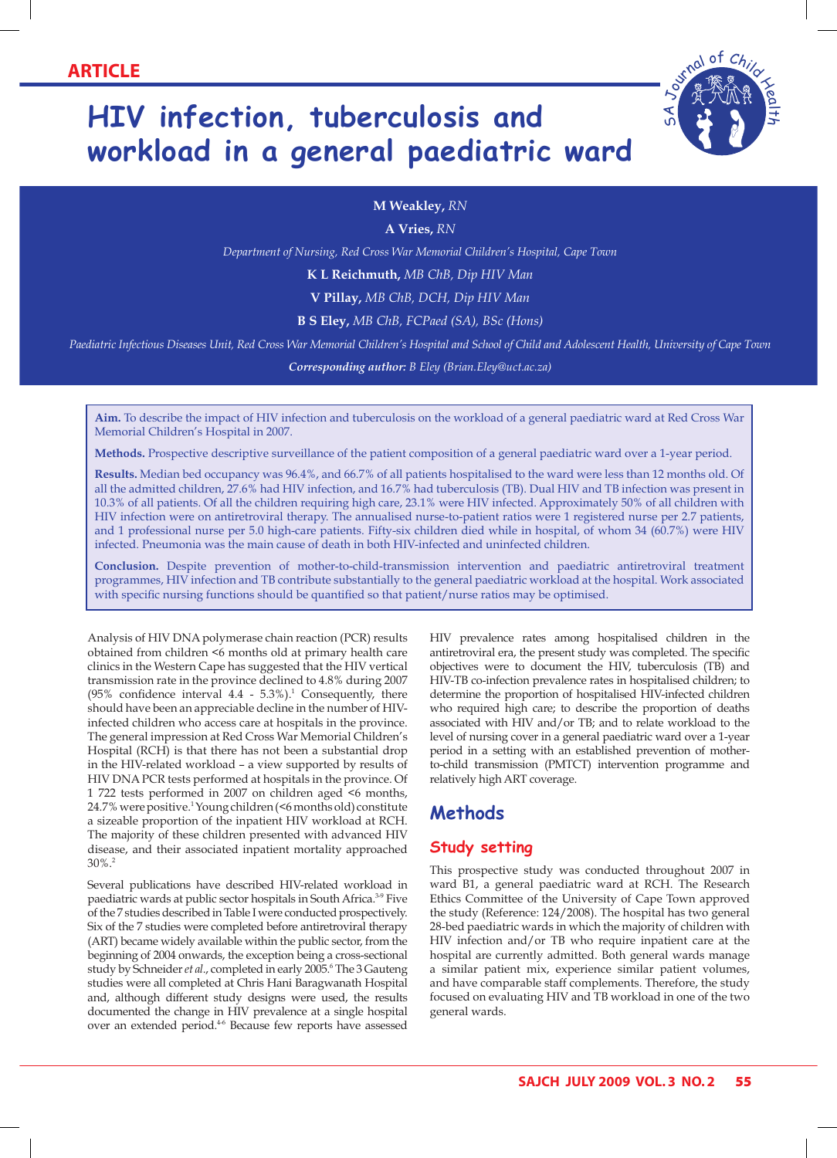# **HIV infection, tuberculosis and workload in a general paediatric ward**



#### **M Weakley,** *RN*

**A Vries,** *RN*

*Department of Nursing, Red Cross War Memorial Children's Hospital, Cape Town*

**K L Reichmuth,** *MB ChB, Dip HIV Man*

**V Pillay,** *MB ChB, DCH, Dip HIV Man*

**B S Eley,** *MB ChB, FCPaed (SA), BSc (Hons)*

*Paediatric Infectious Diseases Unit, Red Cross War Memorial Children's Hospital and School of Child and Adolescent Health, University of Cape Town*

*Corresponding author: B Eley (Brian.Eley@uct.ac.za)*

**Aim.** To describe the impact of HIV infection and tuberculosis on the workload of a general paediatric ward at Red Cross War Memorial Children's Hospital in 2007.

**Methods.** Prospective descriptive surveillance of the patient composition of a general paediatric ward over a 1-year period.

**Results.** Median bed occupancy was 96.4%, and 66.7% of all patients hospitalised to the ward were less than 12 months old. Of all the admitted children, 27.6% had HIV infection, and 16.7% had tuberculosis (TB). Dual HIV and TB infection was present in 10.3% of all patients. Of all the children requiring high care, 23.1% were HIV infected. Approximately 50% of all children with HIV infection were on antiretroviral therapy. The annualised nurse-to-patient ratios were 1 registered nurse per 2.7 patients, and 1 professional nurse per 5.0 high-care patients. Fifty-six children died while in hospital, of whom 34 (60.7%) were HIV infected. Pneumonia was the main cause of death in both HIV-infected and uninfected children.

**Conclusion.** Despite prevention of mother-to-child-transmission intervention and paediatric antiretroviral treatment programmes, HIV infection and TB contribute substantially to the general paediatric workload at the hospital. Work associated with specific nursing functions should be quantified so that patient/nurse ratios may be optimised.

Analysis of HIV DNA polymerase chain reaction (PCR) results obtained from children <6 months old at primary health care clinics in the Western Cape has suggested that the HIV vertical transmission rate in the province declined to 4.8% during 2007  $(95\%$  confidence interval 4.4 - 5.3%).<sup>1</sup> Consequently, there should have been an appreciable decline in the number of HIVinfected children who access care at hospitals in the province. The general impression at Red Cross War Memorial Children's Hospital (RCH) is that there has not been a substantial drop in the HIV-related workload – a view supported by results of HIV DNA PCR tests performed at hospitals in the province. Of 1 722 tests performed in 2007 on children aged <6 months, 24.7% were positive.<sup>1</sup> Young children (<6 months old) constitute a sizeable proportion of the inpatient HIV workload at RCH. The majority of these children presented with advanced HIV disease, and their associated inpatient mortality approached  $30\%$ <sup>2</sup>

Several publications have described HIV-related workload in paediatric wards at public sector hospitals in South Africa.<sup>3-9</sup> Five of the 7 studies described in Table I were conducted prospectively. Six of the 7 studies were completed before antiretroviral therapy (ART) became widely available within the public sector, from the beginning of 2004 onwards, the exception being a cross-sectional study by Schneider et al., completed in early 2005.<sup>6</sup> The 3 Gauteng studies were all completed at Chris Hani Baragwanath Hospital and, although different study designs were used, the results documented the change in HIV prevalence at a single hospital over an extended period.<sup>46</sup> Because few reports have assessed

HIV prevalence rates among hospitalised children in the antiretroviral era, the present study was completed. The specific objectives were to document the HIV, tuberculosis (TB) and HIV-TB co-infection prevalence rates in hospitalised children; to determine the proportion of hospitalised HIV-infected children who required high care; to describe the proportion of deaths associated with HIV and/or TB; and to relate workload to the level of nursing cover in a general paediatric ward over a 1-year period in a setting with an established prevention of motherto-child transmission (PMTCT) intervention programme and relatively high ART coverage.

## **Methods**

#### **Study setting**

This prospective study was conducted throughout 2007 in ward B1, a general paediatric ward at RCH. The Research Ethics Committee of the University of Cape Town approved the study (Reference: 124/2008). The hospital has two general 28-bed paediatric wards in which the majority of children with HIV infection and/or TB who require inpatient care at the hospital are currently admitted. Both general wards manage a similar patient mix, experience similar patient volumes, and have comparable staff complements. Therefore, the study focused on evaluating HIV and TB workload in one of the two general wards.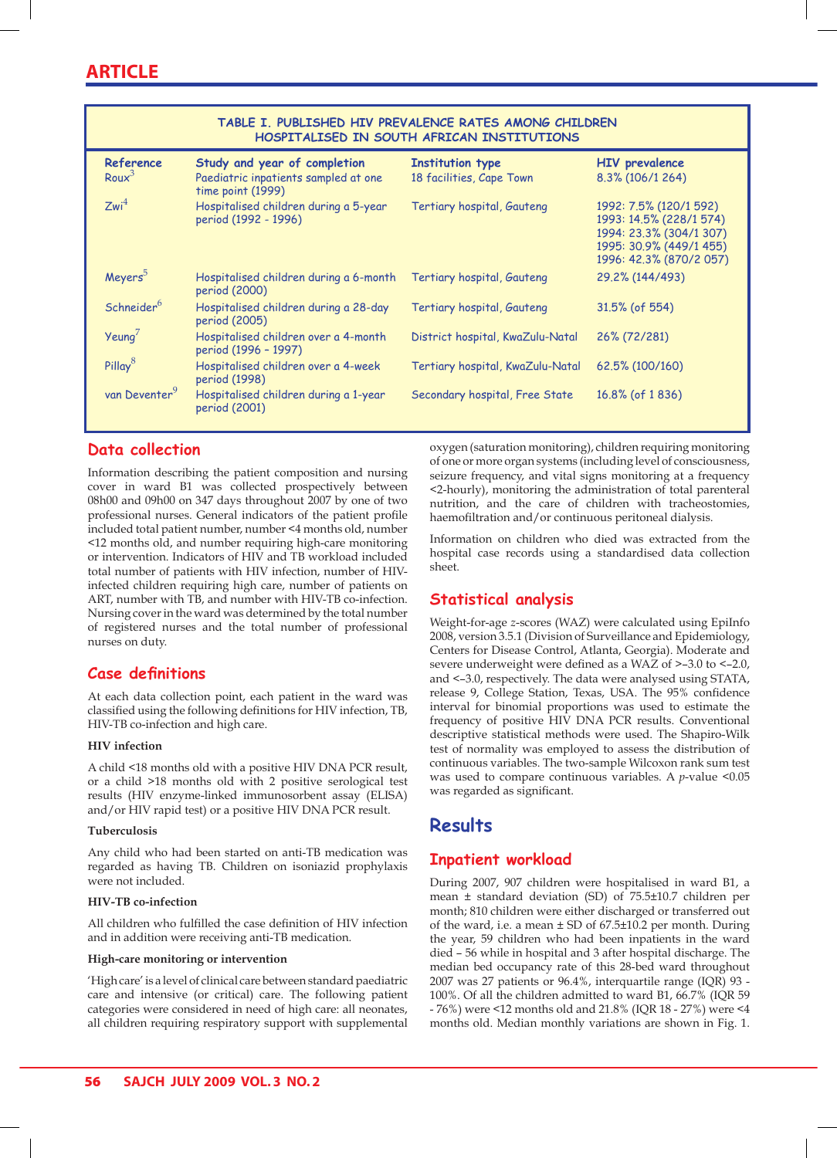| TABLE I. PUBLISHED HIV PREVALENCE RATES AMONG CHILDREN<br>HOSPITALISED IN SOUTH AFRICAN INSTITUTIONS |                                                                                           |                                                     |                                                                                                                                    |  |  |
|------------------------------------------------------------------------------------------------------|-------------------------------------------------------------------------------------------|-----------------------------------------------------|------------------------------------------------------------------------------------------------------------------------------------|--|--|
| Reference<br>Rou $x^3$                                                                               | Study and year of completion<br>Paediatric inpatients sampled at one<br>time point (1999) | <b>Institution type</b><br>18 facilities, Cape Town | <b>HIV</b> prevalence<br>8.3% (106/1 264)                                                                                          |  |  |
| Zwi <sup>4</sup>                                                                                     | Hospitalised children during a 5-year<br>period (1992 - 1996)                             | Tertiary hospital, Gauteng                          | 1992: 7.5% (120/1 592)<br>1993: 14.5% (228/1 574)<br>1994: 23.3% (304/1 307)<br>1995: 30.9% (449/1 455)<br>1996: 42.3% (870/2 057) |  |  |
| Meyers <sup>5</sup>                                                                                  | Hospitalised children during a 6-month<br>period (2000)                                   | Tertiary hospital, Gauteng                          | 29.2% (144/493)                                                                                                                    |  |  |
| Schneider <sup>6</sup>                                                                               | Hospitalised children during a 28-day<br>period (2005)                                    | Tertiary hospital, Gauteng                          | $31.5\%$ (of 554)                                                                                                                  |  |  |
| $Ye$ ung                                                                                             | Hospitalised children over a 4-month<br>period (1996 - 1997)                              | District hospital, KwaZulu-Natal                    | 26% (72/281)                                                                                                                       |  |  |
| Pillay <sup>8</sup>                                                                                  | Hospitalised children over a 4-week<br>period (1998)                                      | Tertiary hospital, KwaZulu-Natal                    | 62.5% (100/160)                                                                                                                    |  |  |
| van Deventer <sup>9</sup>                                                                            | Hospitalised children during a 1-year<br>period (2001)                                    | Secondary hospital, Free State                      | $16.8\%$ (of 1836)                                                                                                                 |  |  |

## **Data collection**

Information describing the patient composition and nursing cover in ward B1 was collected prospectively between 08h00 and 09h00 on 347 days throughout 2007 by one of two professional nurses. General indicators of the patient profile included total patient number, number <4 months old, number <12 months old, and number requiring high-care monitoring or intervention. Indicators of HIV and TB workload included total number of patients with HIV infection, number of HIVinfected children requiring high care, number of patients on ART, number with TB, and number with HIV-TB co-infection. Nursing cover in the ward was determined by the total number of registered nurses and the total number of professional nurses on duty.

#### **Case definitions**

At each data collection point, each patient in the ward was classified using the following definitions for HIV infection, TB, HIV-TB co-infection and high care.

#### **HIV infection**

A child <18 months old with a positive HIV DNA PCR result, or a child >18 months old with 2 positive serological test results (HIV enzyme-linked immunosorbent assay (ELISA) and/or HIV rapid test) or a positive HIV DNA PCR result.

#### **Tuberculosis**

Any child who had been started on anti-TB medication was regarded as having TB. Children on isoniazid prophylaxis were not included.

#### **HIV-TB co-infection**

All children who fulfilled the case definition of HIV infection and in addition were receiving anti-TB medication.

#### **High-care monitoring or intervention**

'High care' is a level of clinical care between standard paediatric care and intensive (or critical) care. The following patient categories were considered in need of high care: all neonates, all children requiring respiratory support with supplemental oxygen (saturation monitoring), children requiring monitoring of one or more organ systems (including level of consciousness, seizure frequency, and vital signs monitoring at a frequency <2-hourly), monitoring the administration of total parenteral nutrition, and the care of children with tracheostomies, haemofiltration and/or continuous peritoneal dialysis.

Information on children who died was extracted from the hospital case records using a standardised data collection sheet.

## **Statistical analysis**

Weight-for-age *z*-scores (WAZ) were calculated using EpiInfo 2008, version 3.5.1 (Division of Surveillance and Epidemiology, Centers for Disease Control, Atlanta, Georgia). Moderate and severe underweight were defined as a WAZ of >–3.0 to <–2.0, and <–3.0, respectively. The data were analysed using STATA, release 9, College Station, Texas, USA. The 95% confidence interval for binomial proportions was used to estimate the frequency of positive HIV DNA PCR results. Conventional descriptive statistical methods were used. The Shapiro-Wilk test of normality was employed to assess the distribution of continuous variables. The two-sample Wilcoxon rank sum test was used to compare continuous variables. A *p*-value <0.05 was regarded as significant.

## **Results**

## **Inpatient workload**

During 2007, 907 children were hospitalised in ward B1, a mean ± standard deviation (SD) of 75.5±10.7 children per month; 810 children were either discharged or transferred out of the ward, i.e. a mean ± SD of 67.5±10.2 per month. During the year, 59 children who had been inpatients in the ward died – 56 while in hospital and 3 after hospital discharge. The median bed occupancy rate of this 28-bed ward throughout 2007 was 27 patients or 96.4%, interquartile range (IQR) 93 - 100%. Of all the children admitted to ward B1, 66.7% (IQR 59 - 76%) were <12 months old and 21.8% (IQR 18 - 27%) were <4 months old. Median monthly variations are shown in Fig. 1.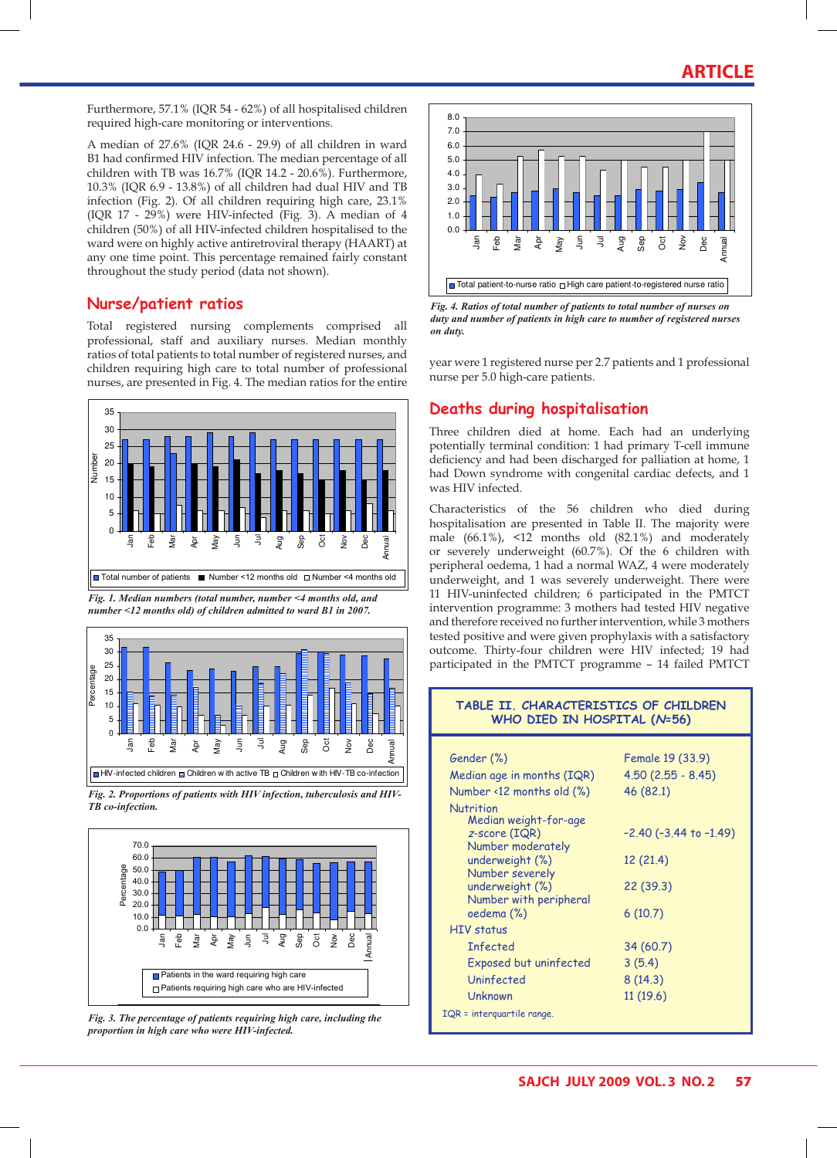## **ARTICLE**

Furthermore, 57.1% (IQR 54 - 62%) of all hospitalised children required high-care monitoring or interventions.

A median of 27.6% (IQR 24.6 - 29.9) of all children in ward B1 had confirmed HIV infection. The median percentage of all children with TB was 16.7% (IQR 14.2 - 20.6%). Furthermore, 10.3% (IQR 6.9 - 13.8%) of all children had dual HIV and TB infection (Fig. 2). Of all children requiring high care, 23.1% (IQR 17 - 29%) were HIV-infected (Fig. 3). A median of 4 children (50%) of all HIV-infected children hospitalised to the ward were on highly active antiretroviral therapy (HAART) at any one time point. This percentage remained fairly constant throughout the study period (data not shown).

#### **Nurse/patient ratios**

Total registered nursing complements comprised all professional, staff and auxiliary nurses. Median monthly ratios of total patients to total number of registered nurses, and children requiring high care to total number of professional nurses, are presented in Fig. 4. The median ratios for the entire



*Fig. 1. Median numbers (total number, number <4 months old, and number <12 months old) of children admitted to ward B1 in 2007.*



*Fig. 2. Proportions of patients with HIV infection, tuberculosis and HIV-FB co-infection. high care who were HIV-infected.*



*Fig. 3. The percentage of patients requiring high care, including the proportion in high care who were HIV-infected.*



*Fig. 4. Ratios of total number of patients to total number of nurses on duty and number of patients in high care to number of registered nurses on duty.*

year were 1 registered nurse per 2.7 patients and 1 professional nurse per 5.0 high-care patients.

## **Deaths during hospitalisation**

Three children died at home. Each had an underlying potentially terminal condition: 1 had primary T-cell immune deficiency and had been discharged for palliation at home, 1 had Down syndrome with congenital cardiac defects, and 1 was HIV infected.

Characteristics of the 56 children who died during hospitalisation are presented in Table II. The majority were male (66.1%), <12 months old (82.1%) and moderately or severely underweight (60.7%). Of the 6 children with peripheral oedema, 1 had a normal WAZ, 4 were moderately underweight, and 1 was severely underweight. There were 11 HIV-uninfected children; 6 participated in the PMTCT intervention programme: 3 mothers had tested HIV negative and therefore received no further intervention, while 3 mothers tested positive and were given prophylaxis with a satisfactory outcome. Thirty-four children were HIV infected; 19 had participated in the PMTCT programme – 14 failed PMTCT

#### **Table II. Characteristics of children who died in hospital (N=56)**

| Gender (%)                                   | Female 19 (33.9)               |  |
|----------------------------------------------|--------------------------------|--|
| Median age in months (IQR)                   | $4.50(2.55 - 8.45)$            |  |
| Number $\langle 12 \text{ months old } (\%)$ | 46 (82.1)                      |  |
| Nutrition<br>Median weight-for-age           |                                |  |
| $z$ -score (IQR)<br>Number moderately        | $-2.40$ ( $-3.44$ to $-1.49$ ) |  |
| underweight (%)<br>Number severely           | 12 (21.4)                      |  |
| underweight (%)<br>Number with peripheral    | 22 (39.3)                      |  |
| oedema (%)                                   | 6(10.7)                        |  |
| HIV status                                   |                                |  |
| <b>Infected</b>                              | 34 (60.7)                      |  |
| Exposed but uninfected                       | 3(5.4)                         |  |
| Uninfected                                   | 8(14.3)                        |  |
| <b>Unknown</b>                               | 11(19.6)                       |  |
| IQR = interquartile range.                   |                                |  |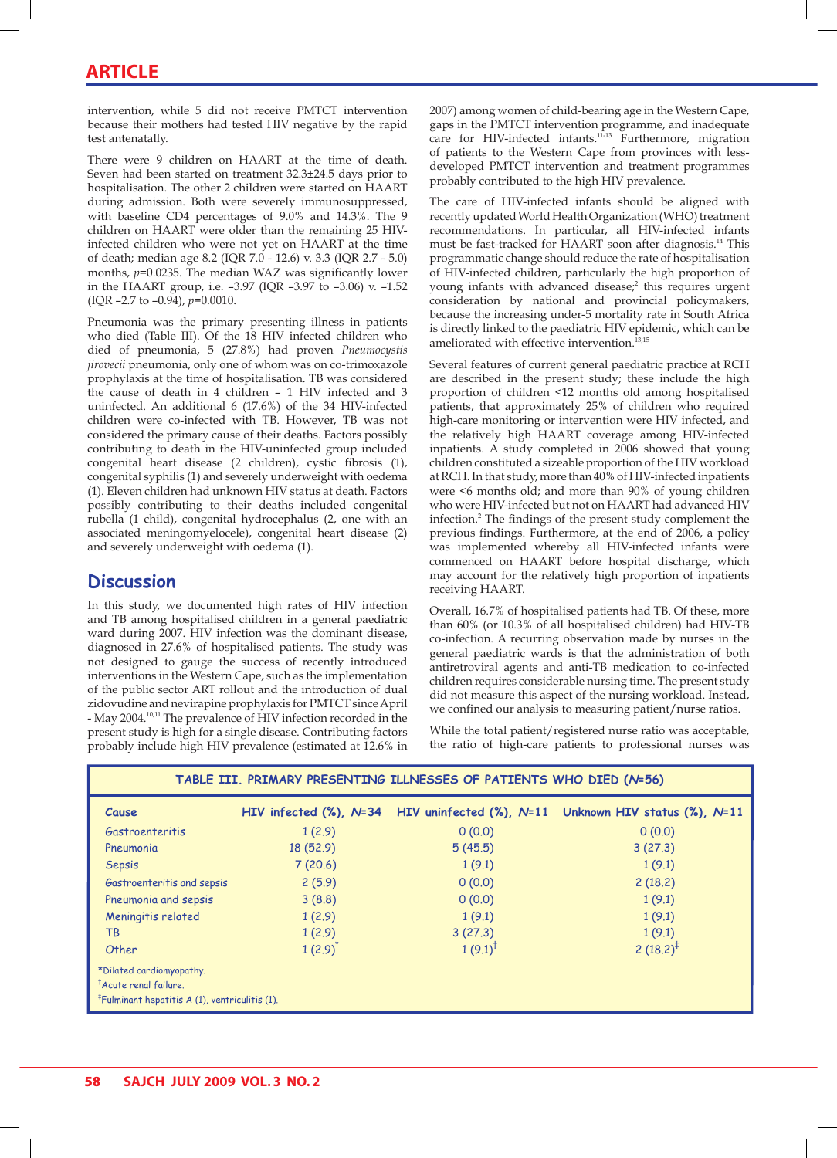intervention, while 5 did not receive PMTCT intervention because their mothers had tested HIV negative by the rapid test antenatally.

There were 9 children on HAART at the time of death. Seven had been started on treatment 32.3±24.5 days prior to hospitalisation. The other 2 children were started on HAART during admission. Both were severely immunosuppressed, with baseline CD4 percentages of 9.0% and 14.3%. The 9 children on HAART were older than the remaining 25 HIVinfected children who were not yet on HAART at the time of death; median age 8.2 (IQR 7.0 - 12.6) v. 3.3 (IQR 2.7 - 5.0) months, *p*=0.0235. The median WAZ was significantly lower in the HAART group, i.e. –3.97 (IQR –3.97 to –3.06) v. –1.52 (IQR –2.7 to –0.94), *p*=0.0010.

Pneumonia was the primary presenting illness in patients who died (Table III). Of the 18 HIV infected children who died of pneumonia, 5 (27.8%) had proven *Pneumocystis jirovecii* pneumonia, only one of whom was on co-trimoxazole prophylaxis at the time of hospitalisation. TB was considered the cause of death in 4 children – 1 HIV infected and 3 uninfected. An additional 6 (17.6%) of the 34 HIV-infected children were co-infected with TB. However, TB was not considered the primary cause of their deaths. Factors possibly contributing to death in the HIV-uninfected group included congenital heart disease (2 children), cystic fibrosis (1), congenital syphilis (1) and severely underweight with oedema (1). Eleven children had unknown HIV status at death. Factors possibly contributing to their deaths included congenital rubella (1 child), congenital hydrocephalus (2, one with an associated meningomyelocele), congenital heart disease (2) and severely underweight with oedema (1).

## **Discussion**

In this study, we documented high rates of HIV infection and TB among hospitalised children in a general paediatric ward during 2007. HIV infection was the dominant disease, diagnosed in 27.6% of hospitalised patients. The study was not designed to gauge the success of recently introduced interventions in the Western Cape, such as the implementation of the public sector ART rollout and the introduction of dual zidovudine and nevirapine prophylaxis for PMTCT since April - May 2004.10,11 The prevalence of HIV infection recorded in the present study is high for a single disease. Contributing factors probably include high HIV prevalence (estimated at 12.6% in

2007) among women of child-bearing age in the Western Cape, gaps in the PMTCT intervention programme, and inadequate care for HIV-infected infants.<sup>11-13</sup> Furthermore, migration of patients to the Western Cape from provinces with lessdeveloped PMTCT intervention and treatment programmes probably contributed to the high HIV prevalence.

The care of HIV-infected infants should be aligned with recently updated World Health Organization (WHO) treatment recommendations. In particular, all HIV-infected infants must be fast-tracked for HAART soon after diagnosis.14 This programmatic change should reduce the rate of hospitalisation of HIV-infected children, particularly the high proportion of young infants with advanced disease;<sup>2</sup> this requires urgent consideration by national and provincial policymakers, because the increasing under-5 mortality rate in South Africa is directly linked to the paediatric HIV epidemic, which can be ameliorated with effective intervention.<sup>13,15</sup>

Several features of current general paediatric practice at RCH are described in the present study; these include the high proportion of children <12 months old among hospitalised patients, that approximately 25% of children who required high-care monitoring or intervention were HIV infected, and the relatively high HAART coverage among HIV-infected inpatients. A study completed in 2006 showed that young children constituted a sizeable proportion of the HIV workload at RCH. In that study, more than 40% of HIV-infected inpatients were <6 months old; and more than 90% of young children who were HIV-infected but not on HAART had advanced HIV infection.2 The findings of the present study complement the previous findings. Furthermore, at the end of 2006, a policy was implemented whereby all HIV-infected infants were commenced on HAART before hospital discharge, which may account for the relatively high proportion of inpatients receiving HAART.

Overall, 16.7% of hospitalised patients had TB. Of these, more than 60% (or 10.3% of all hospitalised children) had HIV-TB co-infection. A recurring observation made by nurses in the general paediatric wards is that the administration of both antiretroviral agents and anti-TB medication to co-infected children requires considerable nursing time. The present study did not measure this aspect of the nursing workload. Instead, we confined our analysis to measuring patient/nurse ratios.

While the total patient/registered nurse ratio was acceptable, the ratio of high-care patients to professional nurses was

| TABLE III. PRIMARY PRESENTING ILLNESSES OF PATIENTS WHO DIED (N=56)                                                |              |                    |                                                                                    |  |  |
|--------------------------------------------------------------------------------------------------------------------|--------------|--------------------|------------------------------------------------------------------------------------|--|--|
| Cause                                                                                                              |              |                    | HIV infected (%), $N=34$ HIV uninfected (%), $N=11$ Unknown HIV status (%), $N=11$ |  |  |
| Gastroenteritis                                                                                                    | 1(2.9)       | 0(0.0)             | 0(0.0)                                                                             |  |  |
| Pneumonia                                                                                                          | 18 (52.9)    | 5(45.5)            | 3(27.3)                                                                            |  |  |
| <b>Sepsis</b>                                                                                                      | 7(20.6)      | 1(9.1)             | 1(9.1)                                                                             |  |  |
| Gastroenteritis and sepsis                                                                                         | 2(5.9)       | 0(0.0)             | 2(18.2)                                                                            |  |  |
| Pneumonia and sepsis                                                                                               | 3(8.8)       | 0(0.0)             | 1(9.1)                                                                             |  |  |
| Meningitis related                                                                                                 | 1(2.9)       | 1(9.1)             | 1(9.1)                                                                             |  |  |
| TB                                                                                                                 | 1(2.9)       | 3(27.3)            | 1(9.1)                                                                             |  |  |
| Other                                                                                                              | $1(2.9)^{*}$ | $1(9.1)^{\dagger}$ | 2 $(18.2)^{\ddagger}$                                                              |  |  |
| *Dilated cardiomyopathy.<br><sup>T</sup> Acute renal failure.<br>$F$ Fulminant hepatitis A (1), ventriculitis (1). |              |                    |                                                                                    |  |  |